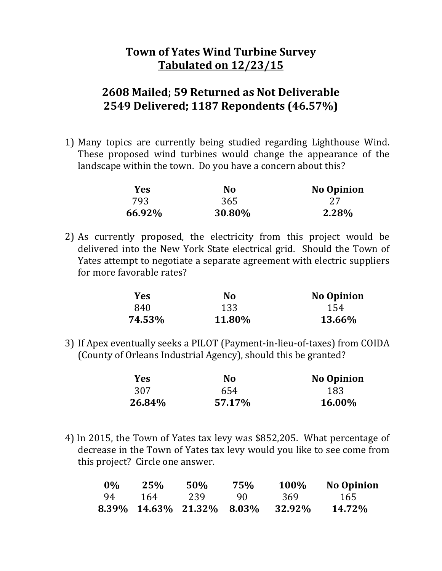## **Town of Yates Wind Turbine Survey Tabulated on 12/23/15**

## **2608 Mailed; 59 Returned as Not Deliverable 2549 Delivered; 1187 Repondents (46.57%)**

1) Many topics are currently being studied regarding Lighthouse Wind. These proposed wind turbines would change the appearance of the landscape within the town. Do you have a concern about this?

| Yes    | N <sub>0</sub> | <b>No Opinion</b> |
|--------|----------------|-------------------|
| 793    | 365            |                   |
| 66.92% | 30.80%         | 2.28%             |

2) As currently proposed, the electricity from this project would be delivered into the New York State electrical grid. Should the Town of Yates attempt to negotiate a separate agreement with electric suppliers for more favorable rates?

| Yes    | No     | <b>No Opinion</b> |
|--------|--------|-------------------|
| 840    | 133    | 154               |
| 74.53% | 11.80% | 13.66%            |

3) If Apex eventually seeks a PILOT (Payment-in-lieu-of-taxes) from COIDA (County of Orleans Industrial Agency), should this be granted?

| <b>Yes</b> | N0     | <b>No Opinion</b> |
|------------|--------|-------------------|
| 307        | 654    | 183               |
| 26.84%     | 57.17% | 16.00%            |

4) In 2015, the Town of Yates tax levy was \$852,205. What percentage of decrease in the Town of Yates tax levy would you like to see come from this project? Circle one answer.

| $0\%$ |     | $25\%$ 50% 75% |    |                                  | 100% No Opinion |
|-------|-----|----------------|----|----------------------------------|-----------------|
| 94    | 164 | 239            | 90 | 369                              | - 165           |
|       |     |                |    | 8.39% 14.63% 21.32% 8.03% 32.92% | 14.72%          |